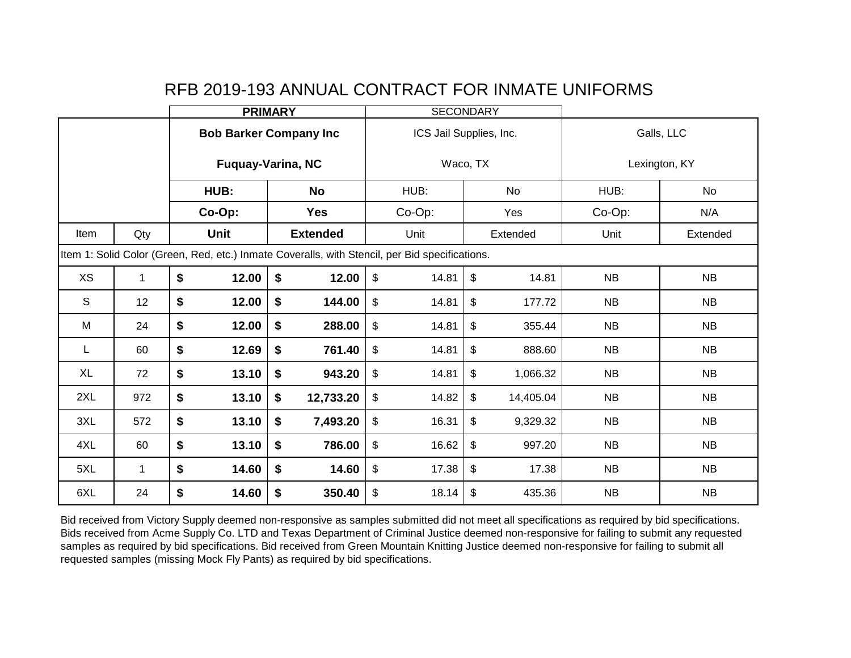|             |             | <b>PRIMARY</b>                                                                                 |        |                               | <b>SECONDARY</b>        |                         |                           |           |                  |           |  |
|-------------|-------------|------------------------------------------------------------------------------------------------|--------|-------------------------------|-------------------------|-------------------------|---------------------------|-----------|------------------|-----------|--|
|             |             |                                                                                                |        | <b>Bob Barker Company Inc</b> |                         | ICS Jail Supplies, Inc. |                           |           | Galls, LLC       |           |  |
|             |             |                                                                                                |        | <b>Fuquay-Varina, NC</b>      |                         | Waco, TX                |                           |           | Lexington, KY    |           |  |
|             |             |                                                                                                | HUB:   | <b>No</b>                     |                         | HUB:                    |                           | No        | HUB:             | <b>No</b> |  |
|             |             |                                                                                                | Co-Op: | <b>Yes</b>                    |                         | Co-Op:                  |                           | Yes       | Co-Op:           | N/A       |  |
| Item        | Qty         |                                                                                                | Unit   | <b>Extended</b>               |                         | Unit                    |                           | Extended  | Unit<br>Extended |           |  |
|             |             | Item 1: Solid Color (Green, Red, etc.) Inmate Coveralls, with Stencil, per Bid specifications. |        |                               |                         |                         |                           |           |                  |           |  |
| <b>XS</b>   | $\mathbf 1$ | \$                                                                                             | 12.00  | \$<br>12.00                   | $\mathfrak{S}$          | 14.81                   | \$                        | 14.81     | <b>NB</b>        | <b>NB</b> |  |
| $\mathsf S$ | 12          | \$<br>\$<br>12.00<br>144.00                                                                    |        | $\mathfrak{S}$                | 14.81                   | \$                      | 177.72                    | NB        | <b>NB</b>        |           |  |
| М           | 24          | \$                                                                                             | 12.00  | \$<br>288.00                  | $\frac{1}{2}$           | 14.81                   | \$<br>355.44              |           | <b>NB</b>        | <b>NB</b> |  |
| L           | 60          | \$                                                                                             | 12.69  | \$<br>761.40                  | $\mathfrak{S}$          | 14.81                   | $\boldsymbol{\mathsf{S}}$ | 888.60    | NB               | <b>NB</b> |  |
| XL          | 72          | \$                                                                                             | 13.10  | \$<br>943.20                  | $\sqrt[6]{\frac{1}{2}}$ | 14.81                   | \$                        | 1,066.32  | <b>NB</b>        | <b>NB</b> |  |
| 2XL         | 972         | \$                                                                                             | 13.10  | \$<br>12,733.20               | $\frac{1}{2}$           | 14.82                   | \$                        | 14,405.04 | <b>NB</b>        | NB        |  |
| 3XL         | 572         | \$<br>\$<br>13.10<br>7,493.20                                                                  |        | $\sqrt[6]{\frac{1}{2}}$       | 16.31                   | \$                      | 9,329.32                  | <b>NB</b> | <b>NB</b>        |           |  |
| 4XL         | 60          | \$                                                                                             | 13.10  | \$<br>786.00                  | $\mathfrak{S}$          | 16.62                   | \$                        | 997.20    | <b>NB</b>        | <b>NB</b> |  |
| 5XL         | 1           | \$                                                                                             | 14.60  | \$<br>14.60                   | \$                      | 17.38                   | \$                        | 17.38     | <b>NB</b>        | <b>NB</b> |  |
| 6XL         | 24          | \$                                                                                             | 14.60  | \$<br>350.40                  | \$                      | 18.14                   | \$                        | 435.36    | NB               | <b>NB</b> |  |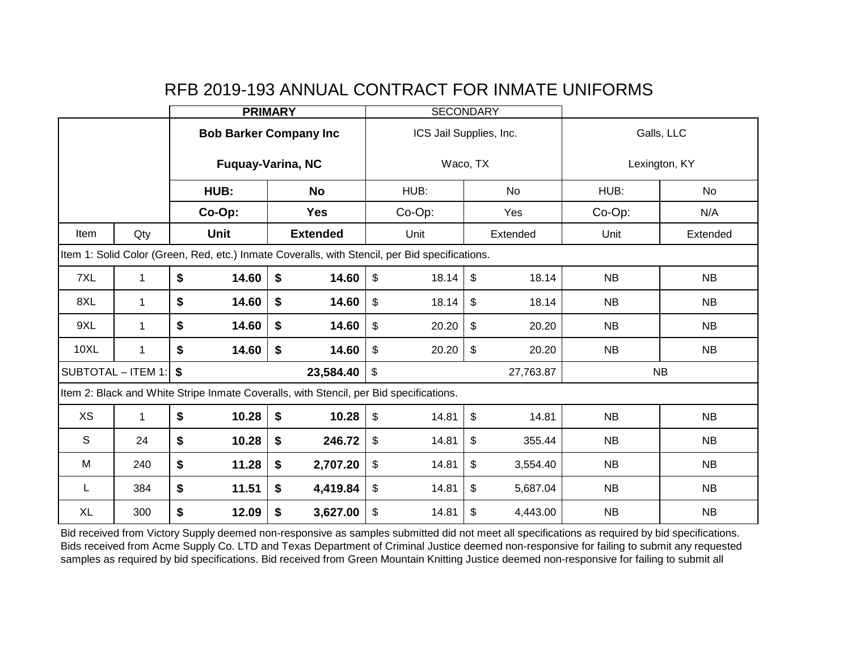|             |                    |                               | <b>PRIMARY</b>                                                                                 |                                  | <b>SECONDARY</b>                      |               |           |  |
|-------------|--------------------|-------------------------------|------------------------------------------------------------------------------------------------|----------------------------------|---------------------------------------|---------------|-----------|--|
|             |                    |                               | <b>Bob Barker Company Inc</b>                                                                  |                                  | ICS Jail Supplies, Inc.               | Galls, LLC    |           |  |
|             |                    |                               | <b>Fuquay-Varina, NC</b>                                                                       |                                  | Waco, TX                              | Lexington, KY |           |  |
|             |                    | HUB:                          | <b>No</b>                                                                                      | HUB:                             | No                                    | HUB:          | No        |  |
|             |                    | Co-Op:                        | <b>Yes</b>                                                                                     | Co-Op:                           | Yes                                   | Co-Op:        | N/A       |  |
| Item        | Qty                | <b>Unit</b>                   | <b>Extended</b>                                                                                | Unit                             | Extended                              | Unit          | Extended  |  |
|             |                    |                               | Item 1: Solid Color (Green, Red, etc.) Inmate Coveralls, with Stencil, per Bid specifications. |                                  |                                       |               |           |  |
| 7XL         | 1                  | \$<br>14.60                   | \$<br>14.60                                                                                    | $\mathfrak{S}$<br>18.14          | \$<br>18.14                           | <b>NB</b>     | <b>NB</b> |  |
| 8XL         | 1                  | \$<br>14.60                   | \$<br>14.60                                                                                    | $\$\$<br>18.14                   | \$<br>18.14                           |               | NB        |  |
| 9XL         | 1                  | \$<br>14.60                   | \$<br>14.60                                                                                    | $\$\$<br>20.20                   | \$<br>20.20                           | <b>NB</b>     | <b>NB</b> |  |
| <b>10XL</b> | 1                  | \$<br>14.60                   | \$<br>14.60                                                                                    | $\sqrt[6]{\frac{1}{2}}$<br>20.20 | \$<br>20.20                           | <b>NB</b>     | <b>NB</b> |  |
|             | SUBTOTAL - ITEM 1: | \$                            | 23,584.40                                                                                      | $\sqrt[6]{\frac{1}{2}}$          | 27,763.87                             | <b>NB</b>     |           |  |
|             |                    |                               | Item 2: Black and White Stripe Inmate Coveralls, with Stencil, per Bid specifications.         |                                  |                                       |               |           |  |
| XS          | 1                  | 10.28<br>\$                   | \$<br>10.28                                                                                    | $\sqrt[6]{\frac{1}{2}}$<br>14.81 | \$<br>14.81                           | NB            | <b>NB</b> |  |
| S           | 24                 | \$<br>10.28                   | \$<br>246.72                                                                                   | $\sqrt[6]{\frac{1}{2}}$<br>14.81 | \$<br>355.44                          | <b>NB</b>     | <b>NB</b> |  |
| М           | 240                | \$<br>11.28                   | \$<br>2,707.20                                                                                 | \$<br>14.81                      | \$<br>3,554.40                        | <b>NB</b>     | <b>NB</b> |  |
| L           | 384                | \$<br>11.51                   | \$<br>4,419.84                                                                                 | \$<br>14.81                      | \$<br>5,687.04                        | NB            | <b>NB</b> |  |
| <b>XL</b>   | 300                | \$<br>\$<br>12.09<br>3,627.00 |                                                                                                | \$<br>14.81                      | $\boldsymbol{\mathsf{S}}$<br>4,443.00 | NB            | NB        |  |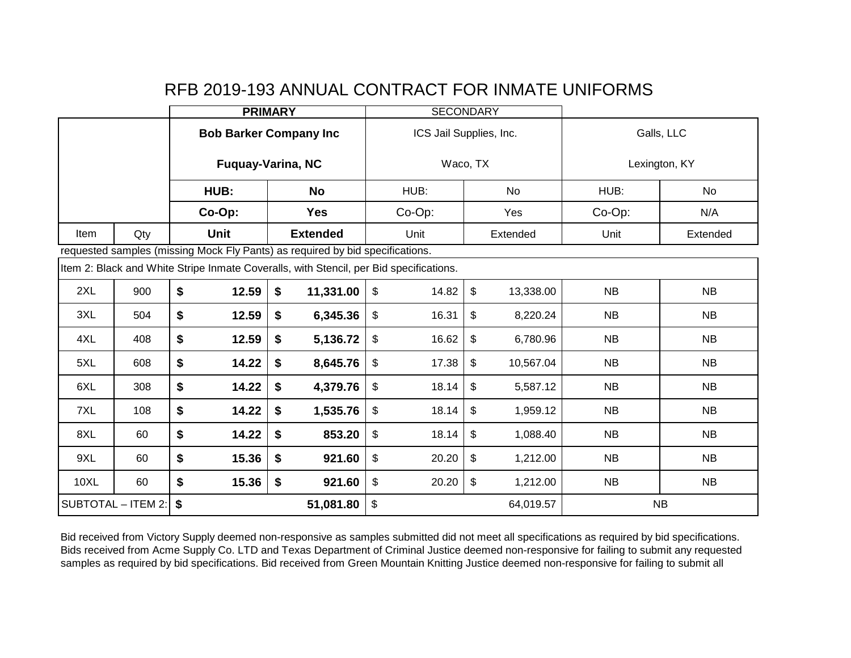|                                       |                         | <b>PRIMARY</b> |                                                                                        |                                                    | <b>SECONDARY</b>        |               |           |  |
|---------------------------------------|-------------------------|----------------|----------------------------------------------------------------------------------------|----------------------------------------------------|-------------------------|---------------|-----------|--|
|                                       |                         |                | <b>Bob Barker Company Inc</b>                                                          |                                                    | ICS Jail Supplies, Inc. | Galls, LLC    |           |  |
|                                       |                         |                | <b>Fuquay-Varina, NC</b>                                                               |                                                    | Waco, TX                | Lexington, KY |           |  |
|                                       |                         | HUB:           | <b>No</b>                                                                              | HUB:                                               | No                      | HUB:          | No        |  |
|                                       |                         | Co-Op:         | <b>Yes</b>                                                                             | Co-Op:                                             | Yes                     | Co-Op:        | N/A       |  |
| Item                                  | Qty                     | <b>Unit</b>    | <b>Extended</b>                                                                        | Unit                                               | Extended                | Unit          | Extended  |  |
|                                       |                         |                | requested samples (missing Mock Fly Pants) as required by bid specifications.          |                                                    |                         |               |           |  |
|                                       |                         |                | Item 2: Black and White Stripe Inmate Coveralls, with Stencil, per Bid specifications. |                                                    |                         |               |           |  |
| 2XL                                   | 900                     | \$<br>12.59    | \$<br>11,331.00                                                                        | $\sqrt[6]{\frac{1}{2}}$<br>14.82                   | \$<br>13,338.00         | <b>NB</b>     | <b>NB</b> |  |
| 3XL                                   | 504                     | \$<br>12.59    | $\boldsymbol{\$}$<br>6,345.36                                                          | $\sqrt[6]{\frac{1}{2}}$<br>\$<br>16.31<br>8,220.24 |                         | <b>NB</b>     | <b>NB</b> |  |
| 4XL                                   | 408                     | \$<br>12.59    | \$<br>5,136.72                                                                         | \$<br>16.62                                        | \$<br>6,780.96          | <b>NB</b>     | <b>NB</b> |  |
| 5XL                                   | 608                     | \$<br>14.22    | \$<br>8,645.76                                                                         | \$<br>17.38                                        | \$<br>10,567.04         | <b>NB</b>     | <b>NB</b> |  |
| 6XL                                   | 308                     | \$<br>14.22    | \$<br>4,379.76                                                                         | \$<br>18.14                                        | \$<br>5,587.12          | <b>NB</b>     | <b>NB</b> |  |
| 7XL                                   | 108                     | \$<br>14.22    | \$<br>1,535.76                                                                         | \$<br>18.14                                        | \$<br>1,959.12          | <b>NB</b>     | <b>NB</b> |  |
| 8XL                                   | 60                      | \$<br>14.22    | $\boldsymbol{\hat{s}}$<br>853.20                                                       | $$\mathbb{S}$$<br>18.14                            | \$<br>1,088.40          | <b>NB</b>     | <b>NB</b> |  |
| 9XL                                   | \$<br>\$<br>15.36<br>60 |                | 921.60                                                                                 | $\sqrt[6]{\frac{1}{2}}$<br>20.20                   | \$<br>1,212.00          | <b>NB</b>     | <b>NB</b> |  |
| <b>10XL</b>                           | 60                      | \$<br>15.36    | \$<br>921.60                                                                           | \$<br>20.20                                        | \$<br>1,212.00          | NB            | <b>NB</b> |  |
| \$<br>SUBTOTAL - ITEM 2:<br>51,081.80 |                         |                |                                                                                        | $\mathbb{S}$                                       | 64,019.57               | <b>NB</b>     |           |  |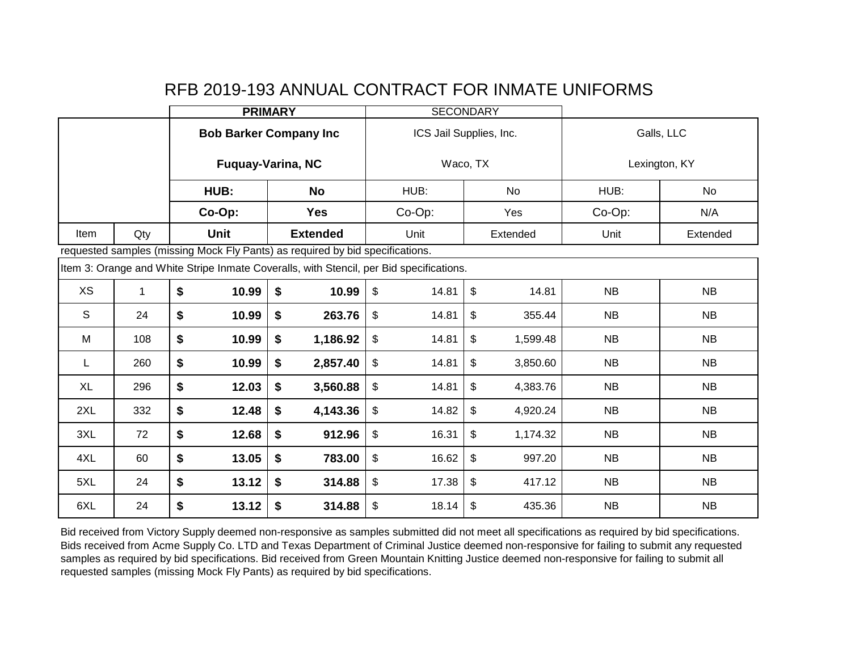|           |              | <b>PRIMARY</b>                                  |             |                                                                                         | <b>SECONDARY</b>        |                         |                         |          |                  |           |  |
|-----------|--------------|-------------------------------------------------|-------------|-----------------------------------------------------------------------------------------|-------------------------|-------------------------|-------------------------|----------|------------------|-----------|--|
|           |              |                                                 |             | <b>Bob Barker Company Inc</b>                                                           |                         | ICS Jail Supplies, Inc. |                         |          | Galls, LLC       |           |  |
|           |              |                                                 |             | <b>Fuquay-Varina, NC</b>                                                                |                         | Waco, TX                |                         |          | Lexington, KY    |           |  |
|           |              |                                                 | HUB:        | <b>No</b>                                                                               |                         | HUB:                    |                         | No       | HUB:             | <b>No</b> |  |
|           |              |                                                 | Co-Op:      | <b>Yes</b>                                                                              |                         | Co-Op:                  |                         | Yes      | Co-Op:           | N/A       |  |
| Item      | Qty          |                                                 | <b>Unit</b> | <b>Extended</b>                                                                         |                         | Unit                    |                         | Extended | Unit<br>Extended |           |  |
|           |              |                                                 |             | requested samples (missing Mock Fly Pants) as required by bid specifications.           |                         |                         |                         |          |                  |           |  |
|           |              |                                                 |             | Item 3: Orange and White Stripe Inmate Coveralls, with Stencil, per Bid specifications. |                         |                         |                         |          |                  |           |  |
| <b>XS</b> | $\mathbf{1}$ | \$                                              | 10.99       | \$<br>10.99                                                                             | $\$\$                   | 14.81                   | \$                      | 14.81    | <b>NB</b>        | <b>NB</b> |  |
| S         | 24           | \$<br>$\boldsymbol{\hat{s}}$<br>10.99<br>263.76 |             | $\frac{1}{2}$                                                                           | 14.81                   | \$                      | 355.44                  | NB       | NB               |           |  |
| M         | 108          | \$                                              | 10.99       | \$<br>1,186.92                                                                          | $\sqrt[6]{\frac{1}{2}}$ | 14.81                   | \$                      | 1,599.48 | <b>NB</b>        | <b>NB</b> |  |
| L         | 260          | \$                                              | 10.99       | \$<br>2,857.40                                                                          | \$                      | 14.81                   | \$                      | 3,850.60 | NB               | <b>NB</b> |  |
| <b>XL</b> | 296          | \$                                              | 12.03       | \$<br>3,560.88                                                                          | $\frac{1}{2}$           | 14.81                   | \$                      | 4,383.76 | NB               | NB        |  |
| 2XL       | 332          | \$                                              | 12.48       | \$<br>4,143.36                                                                          | \$                      | 14.82                   | \$                      | 4,920.24 | <b>NB</b>        | NB        |  |
| 3XL       | 72           | \$                                              | 12.68       | \$<br>912.96                                                                            | \$                      | 16.31                   | \$                      | 1,174.32 | NB               | NB        |  |
| 4XL       | 60           | \$                                              | 13.05       | $\boldsymbol{\$}$<br>783.00                                                             | $\frac{1}{2}$           | 16.62                   | $\sqrt[6]{\frac{1}{2}}$ | 997.20   | NB               | NB        |  |
| 5XL       | 24           | \$                                              | 13.12       | \$<br>314.88                                                                            | \$                      | 17.38                   | \$                      | 417.12   | NB               | <b>NB</b> |  |
| 6XL       | 24           | \$                                              | 13.12       | \$<br>314.88                                                                            | \$                      | 18.14                   | \$                      | 435.36   | <b>NB</b>        | NB        |  |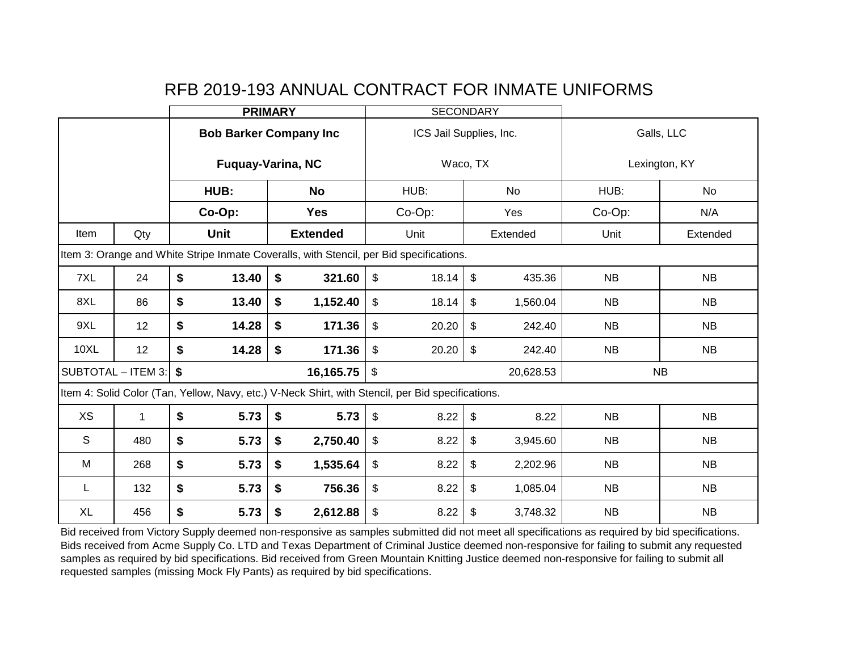|             |                    | <b>PRIMARY</b>               |        |                                                                                                   | <b>SECONDARY</b>                   |                           |           |               |           |  |
|-------------|--------------------|------------------------------|--------|---------------------------------------------------------------------------------------------------|------------------------------------|---------------------------|-----------|---------------|-----------|--|
|             |                    |                              |        | <b>Bob Barker Company Inc</b>                                                                     | ICS Jail Supplies, Inc.            |                           |           | Galls, LLC    |           |  |
|             |                    |                              |        | <b>Fuquay-Varina, NC</b>                                                                          |                                    | Waco, TX                  |           | Lexington, KY |           |  |
|             |                    |                              | HUB:   | <b>No</b>                                                                                         | HUB:                               |                           | No        | HUB:          | No        |  |
|             |                    |                              | Co-Op: | Yes                                                                                               | Co-Op:                             |                           | Yes       | Co-Op:        | N/A       |  |
| Item        | Qty                |                              | Unit   | <b>Extended</b>                                                                                   | Unit                               |                           | Extended  | Unit          | Extended  |  |
|             |                    |                              |        | Item 3: Orange and White Stripe Inmate Coveralls, with Stencil, per Bid specifications.           |                                    |                           |           |               |           |  |
| 7XL         | 24                 | \$                           | 13.40  | \$<br>321.60                                                                                      | $\boldsymbol{\mathsf{S}}$<br>18.14 | $\boldsymbol{\mathsf{S}}$ | 435.36    | <b>NB</b>     | NB        |  |
| 8XL         | 86                 | \$                           | 13.40  | \$<br>1,152.40                                                                                    | \$                                 | \$<br>18.14<br>1,560.04   |           | <b>NB</b>     | <b>NB</b> |  |
| 9XL         | 12                 | \$                           | 14.28  | \$<br>171.36                                                                                      | \$<br>20.20                        | \$                        | 242.40    | NB            | NB        |  |
| <b>10XL</b> | 12                 | \$                           | 14.28  | \$<br>171.36                                                                                      | $\$\$<br>20.20                     | $\boldsymbol{\mathsf{S}}$ | 242.40    | <b>NB</b>     | NB        |  |
|             | SUBTOTAL - ITEM 3: | \$                           |        | 16,165.75                                                                                         | $\mathfrak{S}$                     |                           | 20,628.53 |               | <b>NB</b> |  |
|             |                    |                              |        | Item 4: Solid Color (Tan, Yellow, Navy, etc.) V-Neck Shirt, with Stencil, per Bid specifications. |                                    |                           |           |               |           |  |
| <b>XS</b>   | 1                  | \$                           | 5.73   | \$<br>5.73                                                                                        | $\mathfrak{S}$<br>8.22             | $\$\,$                    | 8.22      | <b>NB</b>     | <b>NB</b> |  |
| S           | 480                | \$                           | 5.73   | \$<br>2,750.40                                                                                    | $\mathfrak{L}$                     | $\frac{1}{2}$<br>8.22     |           | <b>NB</b>     | <b>NB</b> |  |
| M           | 268                | \$                           | 5.73   | \$<br>1,535.64                                                                                    | $\$\$<br>8.22                      | $\sqrt[6]{2}$             | 2,202.96  | <b>NB</b>     | NB        |  |
| L           | 132                | \$                           | 5.73   | \$<br>756.36                                                                                      | \$<br>8.22                         | \$                        | 1,085.04  | NB            | NB        |  |
| <b>XL</b>   | 456                | \$<br>\$<br>5.73<br>2,612.88 |        | $\sqrt[6]{\frac{1}{2}}$<br>8.22                                                                   | $\boldsymbol{\theta}$              | 3,748.32                  | <b>NB</b> | NB            |           |  |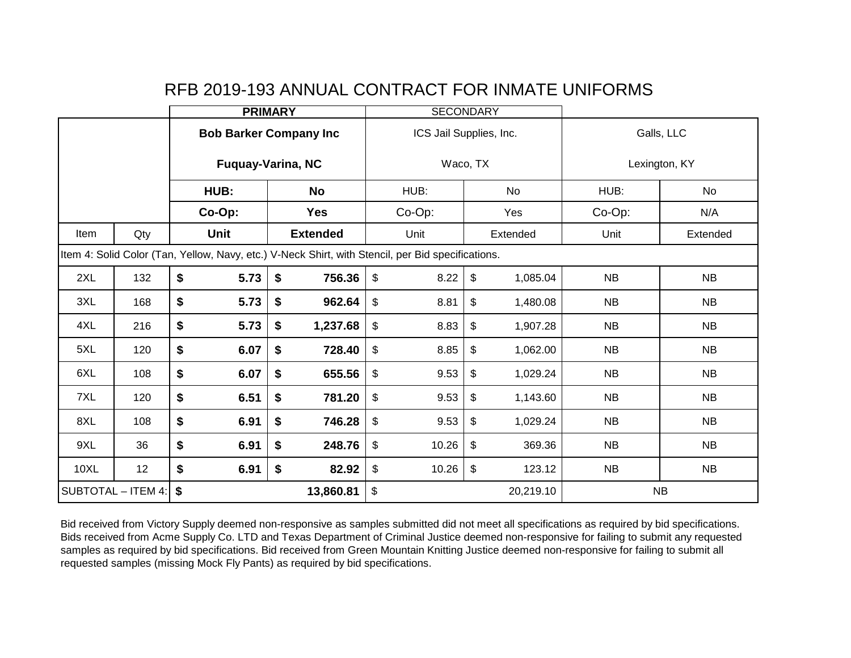|                                                                                                   |     | <b>PRIMARY</b>   |        |                               | <b>SECONDARY</b>                 |          |           |                  |           |  |
|---------------------------------------------------------------------------------------------------|-----|------------------|--------|-------------------------------|----------------------------------|----------|-----------|------------------|-----------|--|
|                                                                                                   |     |                  |        | <b>Bob Barker Company Inc</b> | ICS Jail Supplies, Inc.          |          |           | Galls, LLC       |           |  |
|                                                                                                   |     |                  |        | <b>Fuquay-Varina, NC</b>      |                                  | Waco, TX |           | Lexington, KY    |           |  |
|                                                                                                   |     |                  | HUB:   | <b>No</b>                     | HUB:                             |          | No        | HUB:             | No        |  |
|                                                                                                   |     |                  | Co-Op: | <b>Yes</b>                    | Co-Op:                           |          | Yes       | Co-Op:           | N/A       |  |
| Item                                                                                              | Qty |                  | Unit   | <b>Extended</b>               | Unit                             |          | Extended  | Unit<br>Extended |           |  |
| Item 4: Solid Color (Tan, Yellow, Navy, etc.) V-Neck Shirt, with Stencil, per Bid specifications. |     |                  |        |                               |                                  |          |           |                  |           |  |
| 2XL                                                                                               | 132 | \$               | 5.73   | \$<br>756.36                  | $\sqrt[6]{\frac{1}{2}}$<br>8.22  | \$       | 1,085.04  | <b>NB</b>        | <b>NB</b> |  |
| 3XL                                                                                               | 168 | \$               | 5.73   | \$<br>962.64                  | \$<br>8.81<br>\$<br>1,480.08     |          | <b>NB</b> | <b>NB</b>        |           |  |
| 4XL                                                                                               | 216 | \$               | 5.73   | \$<br>1,237.68                | $\sqrt[6]{\frac{1}{2}}$<br>8.83  | \$       | 1,907.28  | <b>NB</b>        | <b>NB</b> |  |
| 5XL                                                                                               | 120 | \$               | 6.07   | \$<br>728.40                  | $\mathfrak{S}$<br>8.85           | \$       | 1,062.00  | <b>NB</b>        | <b>NB</b> |  |
| 6XL                                                                                               | 108 | \$               | 6.07   | \$<br>655.56                  | \$<br>9.53                       | \$       | 1,029.24  | <b>NB</b>        | <b>NB</b> |  |
| 7XL                                                                                               | 120 | \$               | 6.51   | \$<br>781.20                  | \$<br>9.53                       | \$       | 1,143.60  | <b>NB</b>        | <b>NB</b> |  |
| 8XL                                                                                               | 108 | \$               | 6.91   | $\boldsymbol{\$}$<br>746.28   | \$<br>9.53                       | \$       | 1,029.24  | <b>NB</b>        | <b>NB</b> |  |
| 9XL                                                                                               | 36  | \$<br>\$<br>6.91 |        | 248.76                        | $\sqrt[6]{\frac{1}{2}}$<br>10.26 | \$       | 369.36    | <b>NB</b>        | <b>NB</b> |  |
| <b>10XL</b>                                                                                       | 12  | \$               | 6.91   | \$<br>82.92                   | \$<br>10.26                      | \$       | 123.12    | NB               | NB        |  |
| \$<br>13,860.81<br>SUBTOTAL - ITEM 4:                                                             |     | \$<br>20,219.10  |        |                               | NB                               |          |           |                  |           |  |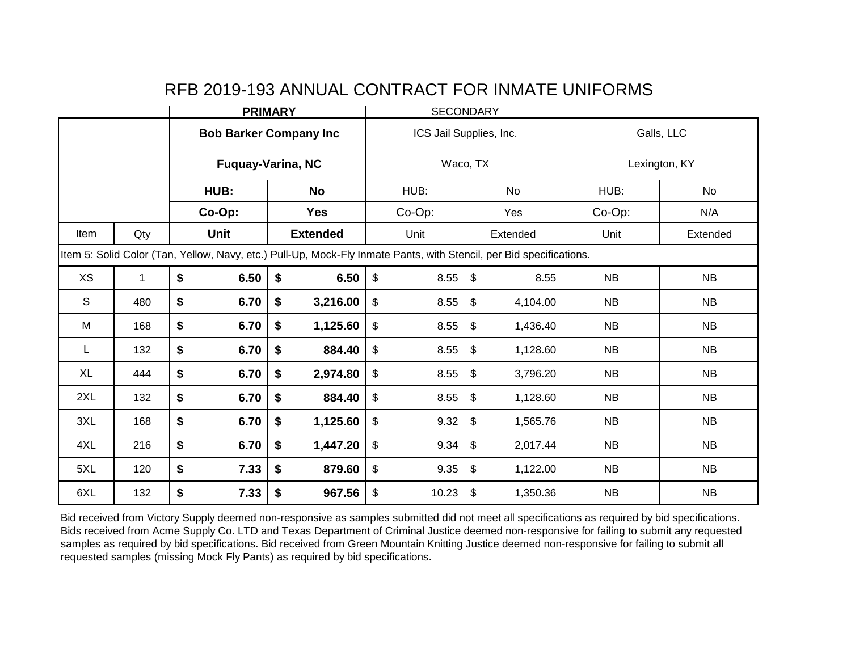|              |                                                                                                                     | <b>PRIMARY</b>                              |        |                                    | <b>SECONDARY</b>        |                         |                           |           |                  |           |  |
|--------------|---------------------------------------------------------------------------------------------------------------------|---------------------------------------------|--------|------------------------------------|-------------------------|-------------------------|---------------------------|-----------|------------------|-----------|--|
|              |                                                                                                                     |                                             |        | <b>Bob Barker Company Inc</b>      |                         | ICS Jail Supplies, Inc. |                           |           | Galls, LLC       |           |  |
|              |                                                                                                                     |                                             |        | <b>Fuquay-Varina, NC</b>           |                         | Waco, TX                |                           |           | Lexington, KY    |           |  |
|              |                                                                                                                     |                                             | HUB:   | <b>No</b>                          |                         | HUB:                    |                           | No        | HUB:             | No        |  |
|              |                                                                                                                     |                                             | Co-Op: | <b>Yes</b>                         |                         | Co-Op:                  |                           | Yes       | Co-Op:           | N/A       |  |
| Item         | Qty                                                                                                                 |                                             | Unit   | <b>Extended</b>                    |                         | Unit                    |                           | Extended  | Unit<br>Extended |           |  |
|              | Item 5: Solid Color (Tan, Yellow, Navy, etc.) Pull-Up, Mock-Fly Inmate Pants, with Stencil, per Bid specifications. |                                             |        |                                    |                         |                         |                           |           |                  |           |  |
| <b>XS</b>    | $\mathbf 1$                                                                                                         | \$                                          | 6.50   | $\sqrt[6]{\frac{1}{2}}$<br>6.50    | $\mathfrak{S}$          | 8.55                    | $\boldsymbol{\mathsf{S}}$ | 8.55      | <b>NB</b>        | <b>NB</b> |  |
| $\mathsf{S}$ | 480                                                                                                                 | \$<br>6.70<br>\$<br>3,216.00                |        | $\sqrt[6]{\frac{1}{2}}$            | 8.55                    | \$                      | 4,104.00                  | <b>NB</b> | <b>NB</b>        |           |  |
| M            | 168                                                                                                                 | \$                                          | 6.70   | $\boldsymbol{\hat{s}}$<br>1,125.60 | $\sqrt[6]{\frac{1}{2}}$ | 8.55                    | \$                        | 1,436.40  | NB               | NB        |  |
| L            | 132                                                                                                                 | \$                                          | 6.70   | $\boldsymbol{\$}$<br>884.40        | $\frac{1}{2}$           | 8.55                    | \$                        | 1,128.60  | <b>NB</b>        | <b>NB</b> |  |
| <b>XL</b>    | 444                                                                                                                 | \$                                          | 6.70   | \$<br>2,974.80                     | $\frac{1}{2}$           | 8.55                    | \$                        | 3,796.20  | <b>NB</b>        | <b>NB</b> |  |
| 2XL          | 132                                                                                                                 | \$                                          | 6.70   | \$<br>884.40                       | $\sqrt[6]{\frac{1}{2}}$ | 8.55                    | $\boldsymbol{\mathsf{s}}$ | 1,128.60  | <b>NB</b>        | <b>NB</b> |  |
| 3XL          | 168                                                                                                                 | \$<br>$\boldsymbol{\$}$<br>6.70<br>1,125.60 |        |                                    | $\sqrt[6]{\frac{1}{2}}$ | 9.32                    | \$                        | 1,565.76  | <b>NB</b>        | NB        |  |
| 4XL          | 216                                                                                                                 | \$                                          | 6.70   | $\boldsymbol{\hat{s}}$<br>1,447.20 | $\sqrt[6]{\frac{1}{2}}$ | 9.34                    | \$                        | 2,017.44  | <b>NB</b>        | <b>NB</b> |  |
| 5XL          | 120                                                                                                                 | \$                                          | 7.33   | \$<br>879.60                       | \$                      | 9.35                    | \$                        | 1,122.00  | <b>NB</b>        | <b>NB</b> |  |
| 6XL          | 132                                                                                                                 | \$                                          | 7.33   | $\boldsymbol{\hat{s}}$<br>967.56   | \$                      | 10.23                   | \$                        | 1,350.36  | NB               | <b>NB</b> |  |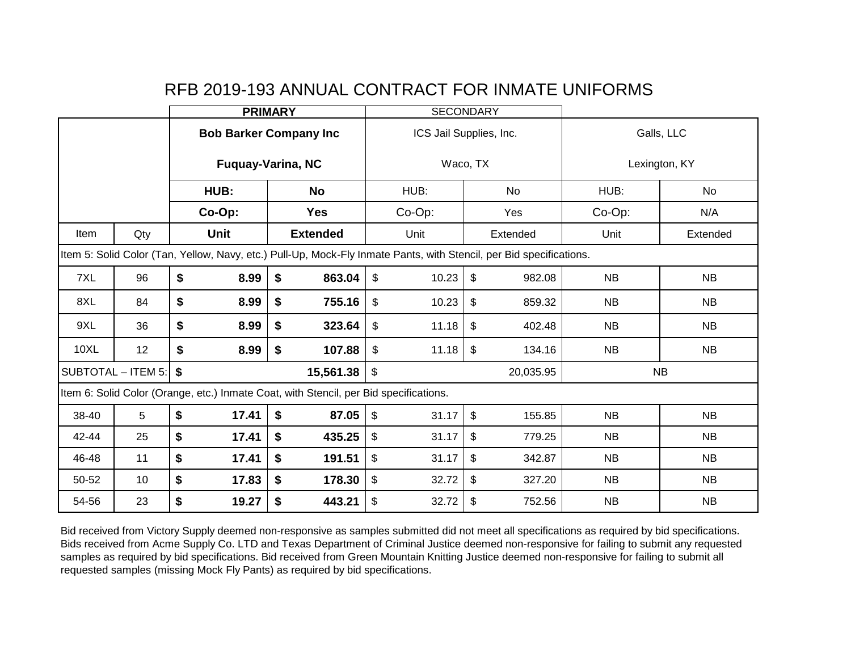|             |                                   | <b>PRIMARY</b> |             |                                                                                                                     | <b>SECONDARY</b>                                    |                                   |                           |           |               |           |  |
|-------------|-----------------------------------|----------------|-------------|---------------------------------------------------------------------------------------------------------------------|-----------------------------------------------------|-----------------------------------|---------------------------|-----------|---------------|-----------|--|
|             |                                   |                |             | <b>Bob Barker Company Inc</b>                                                                                       |                                                     | ICS Jail Supplies, Inc.           |                           |           | Galls, LLC    |           |  |
|             |                                   |                |             | <b>Fuguay-Varina, NC</b>                                                                                            |                                                     | Waco, TX                          |                           |           | Lexington, KY |           |  |
|             |                                   |                | HUB:        | <b>No</b>                                                                                                           |                                                     | HUB:                              |                           | No        | HUB:          | No        |  |
|             |                                   |                | Co-Op:      | <b>Yes</b>                                                                                                          |                                                     | Co-Op:                            |                           | Yes       | Co-Op:        | N/A       |  |
| Item        | Qty                               |                | <b>Unit</b> | <b>Extended</b>                                                                                                     |                                                     | Unit                              |                           | Extended  | Unit          | Extended  |  |
|             |                                   |                |             | Item 5: Solid Color (Tan, Yellow, Navy, etc.) Pull-Up, Mock-Fly Inmate Pants, with Stencil, per Bid specifications. |                                                     |                                   |                           |           |               |           |  |
| 7XL         | 96                                | \$             | 8.99        | \$<br>863.04                                                                                                        | $\sqrt[6]{\frac{1}{2}}$<br>$\$\$<br>10.23<br>982.08 |                                   |                           |           | NB            | <b>NB</b> |  |
| 8XL         | 84                                | \$             | 8.99        | \$<br>755.16                                                                                                        | $\$\$                                               | $\mathfrak{S}$<br>10.23<br>859.32 |                           | <b>NB</b> | <b>NB</b>     |           |  |
| 9XL         | 36                                | \$             | 8.99        | \$<br>323.64                                                                                                        | \$                                                  | 11.18                             | \$                        | 402.48    | <b>NB</b>     | <b>NB</b> |  |
| <b>10XL</b> | 12                                | \$             | 8.99        | \$<br>107.88                                                                                                        | \$                                                  | 11.18                             | $\sqrt[6]{2}$             | 134.16    | <b>NB</b>     | <b>NB</b> |  |
|             | SUBTOTAL - ITEM 5:                | \$             |             | 15,561.38                                                                                                           | $\mathfrak{S}$<br>20,035.95                         |                                   |                           |           | <b>NB</b>     |           |  |
|             |                                   |                |             | Item 6: Solid Color (Orange, etc.) Inmate Coat, with Stencil, per Bid specifications.                               |                                                     |                                   |                           |           |               |           |  |
| 38-40       | 5                                 | \$             | 17.41       | \$<br>87.05                                                                                                         | \$                                                  | 31.17                             | $\sqrt[6]{\frac{1}{2}}$   | 155.85    | <b>NB</b>     | <b>NB</b> |  |
| 42-44       | 25                                | \$             | 17.41       | \$<br>435.25                                                                                                        | \$                                                  | 31.17                             | $\boldsymbol{\mathsf{S}}$ | 779.25    | <b>NB</b>     | NB        |  |
| 46-48       | 11                                | \$             | 17.41       | \$<br>191.51                                                                                                        | $\mathfrak{S}$                                      | 31.17                             | $\boldsymbol{\mathsf{S}}$ | 342.87    | <b>NB</b>     | NB        |  |
| 50-52       | 10                                | \$             | 17.83       | \$<br>178.30                                                                                                        | $\mathfrak{S}$                                      | 32.72                             | \$                        | 327.20    | <b>NB</b>     | NB        |  |
| 54-56       | \$<br>\$<br>23<br>19.27<br>443.21 |                | \$          | 32.72                                                                                                               | $\boldsymbol{\hat{\varphi}}$                        | 752.56                            | NB                        | <b>NB</b> |               |           |  |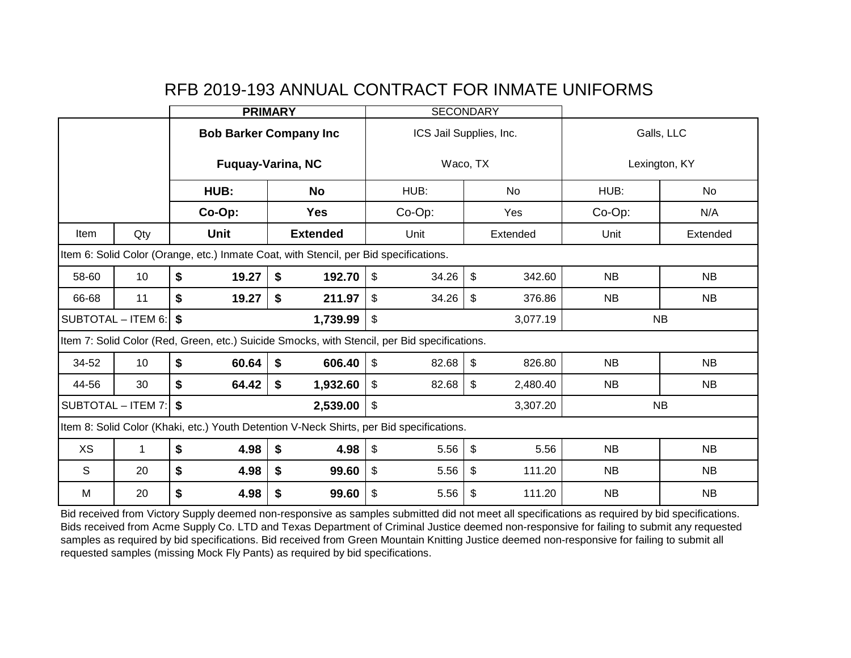|                                                                                          |                      | <b>PRIMARY</b> |             |                                                                                              | <b>SECONDARY</b>                     |    |          |               |           |  |
|------------------------------------------------------------------------------------------|----------------------|----------------|-------------|----------------------------------------------------------------------------------------------|--------------------------------------|----|----------|---------------|-----------|--|
|                                                                                          |                      |                |             | <b>Bob Barker Company Inc</b>                                                                | ICS Jail Supplies, Inc.              |    |          | Galls, LLC    |           |  |
|                                                                                          |                      |                |             | <b>Fuquay-Varina, NC</b>                                                                     | Waco, TX                             |    |          | Lexington, KY |           |  |
|                                                                                          |                      |                | HUB:        | <b>No</b>                                                                                    | HUB:                                 |    | No.      | HUB:          | No        |  |
|                                                                                          |                      |                | Co-Op:      | <b>Yes</b>                                                                                   | Co-Op:                               |    | Yes      | Co-Op:        | N/A       |  |
| Item                                                                                     | Qty                  |                | <b>Unit</b> | <b>Extended</b>                                                                              | Unit                                 |    | Extended | Unit          | Extended  |  |
|                                                                                          |                      |                |             | Item 6: Solid Color (Orange, etc.) Inmate Coat, with Stencil, per Bid specifications.        |                                      |    |          |               |           |  |
| 58-60                                                                                    | 10                   | \$             | 19.27       | \$<br>192.70                                                                                 | $\boldsymbol{\mathsf{S}}$<br>34.26   | \$ | 342.60   | <b>NB</b>     | <b>NB</b> |  |
| 66-68                                                                                    | 11                   | \$             | 19.27       | \$<br>211.97                                                                                 | \$<br>\$<br>34.26<br>376.86          |    |          | <b>NB</b>     | <b>NB</b> |  |
|                                                                                          | SUBTOTAL $-$ ITEM 6: | \$             |             | 1,739.99                                                                                     | $\mathfrak{S}$                       |    | 3,077.19 |               | <b>NB</b> |  |
|                                                                                          |                      |                |             | Item 7: Solid Color (Red, Green, etc.) Suicide Smocks, with Stencil, per Bid specifications. |                                      |    |          |               |           |  |
| 34-52                                                                                    | 10                   | \$             | 60.64       | \$<br>606.40                                                                                 | $\mathfrak{F}$<br>82.68              | \$ | 826.80   | <b>NB</b>     | <b>NB</b> |  |
| 44-56                                                                                    | 30                   | \$             | 64.42       | \$<br>1,932.60                                                                               | \$<br>82.68                          | \$ | 2,480.40 | <b>NB</b>     | <b>NB</b> |  |
|                                                                                          | SUBTOTAL - ITEM 7:   | \$             |             | 2,539.00                                                                                     | \$                                   |    | 3,307.20 |               | <b>NB</b> |  |
| Item 8: Solid Color (Khaki, etc.) Youth Detention V-Neck Shirts, per Bid specifications. |                      |                |             |                                                                                              |                                      |    |          |               |           |  |
| XS                                                                                       | 1                    | \$             | 4.98        | \$<br>4.98                                                                                   | \$<br>$\mathfrak{F}$<br>5.56<br>5.56 |    |          | <b>NB</b>     | <b>NB</b> |  |
| S                                                                                        | 20                   | \$             | 4.98        | \$<br>99.60                                                                                  | \$<br>5.56                           | \$ | 111.20   | <b>NB</b>     | <b>NB</b> |  |
| M                                                                                        | 20                   | \$             | 4.98        | \$<br>99.60                                                                                  | \$<br>5.56                           | \$ | 111.20   | <b>NB</b>     | <b>NB</b> |  |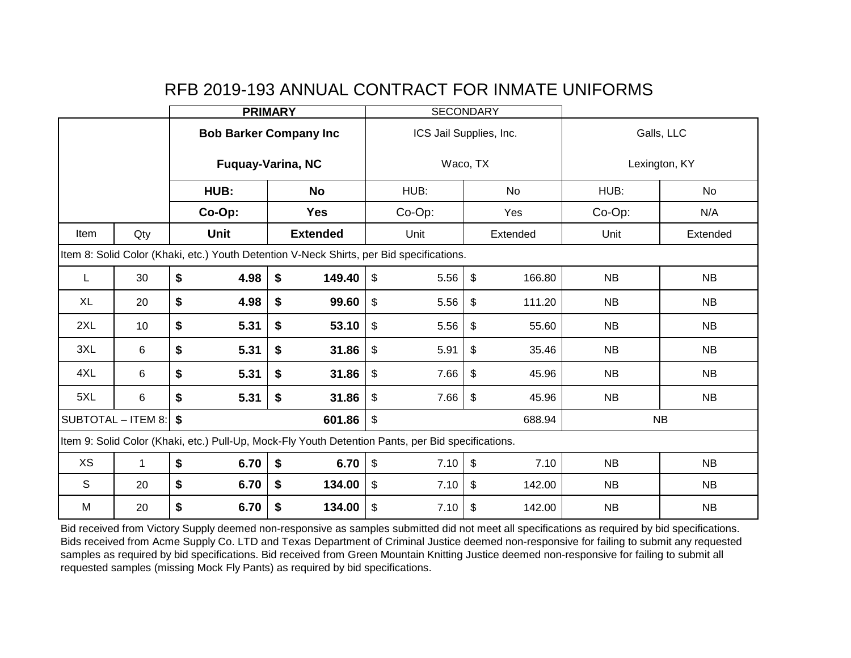|                                                                                                    |                    | <b>PRIMARY</b>             |      |                                   |                                                                                          | <b>SECONDARY</b>                  |            |               |  |
|----------------------------------------------------------------------------------------------------|--------------------|----------------------------|------|-----------------------------------|------------------------------------------------------------------------------------------|-----------------------------------|------------|---------------|--|
|                                                                                                    |                    |                            |      | <b>Bob Barker Company Inc</b>     |                                                                                          | ICS Jail Supplies, Inc.           | Galls, LLC |               |  |
|                                                                                                    |                    |                            |      | <b>Fuquay-Varina, NC</b>          |                                                                                          | Waco, TX                          |            | Lexington, KY |  |
|                                                                                                    |                    | HUB:                       |      | <b>No</b>                         | HUB:                                                                                     | No                                | HUB:       | <b>No</b>     |  |
|                                                                                                    |                    | Co-Op:                     |      | <b>Yes</b>                        | Co-Op:                                                                                   | Yes                               | Co-Op:     | N/A           |  |
| Item                                                                                               | Qty                | <b>Unit</b>                |      | <b>Extended</b>                   | Unit                                                                                     | Extended                          | Unit       | Extended      |  |
|                                                                                                    |                    |                            |      |                                   | Item 8: Solid Color (Khaki, etc.) Youth Detention V-Neck Shirts, per Bid specifications. |                                   |            |               |  |
|                                                                                                    | 30                 | \$                         | 4.98 | \$<br>149.40                      | \$<br>5.56                                                                               | \$<br>166.80                      | NB         | <b>NB</b>     |  |
| <b>XL</b>                                                                                          | 20                 | \$                         | 4.98 | \$<br>99.60                       | $\boldsymbol{\mathsf{S}}$<br>\$<br>5.56<br>111.20                                        |                                   | <b>NB</b>  | <b>NB</b>     |  |
| 2XL                                                                                                | 10                 | \$                         | 5.31 | \$<br>53.10                       | $\sqrt[6]{\frac{1}{2}}$<br>5.56                                                          | \$<br>55.60                       | <b>NB</b>  | <b>NB</b>     |  |
| 3XL                                                                                                | 6                  | \$                         | 5.31 | \$<br>31.86                       | $\mathfrak{P}$<br>5.91                                                                   | \$<br>35.46                       | NB         | <b>NB</b>     |  |
| 4XL                                                                                                | 6                  | \$                         | 5.31 | \$<br>31.86                       | $\mathfrak{S}$<br>7.66                                                                   | \$<br>45.96                       | <b>NB</b>  | <b>NB</b>     |  |
| 5XL                                                                                                | 6                  | \$                         | 5.31 | \$<br>31.86                       | \$<br>7.66                                                                               | \$<br>45.96                       | <b>NB</b>  | <b>NB</b>     |  |
|                                                                                                    | SUBTOTAL - ITEM 8: | \$s                        |      | 601.86                            | $\boldsymbol{\mathsf{S}}$                                                                | 688.94                            |            | <b>NB</b>     |  |
| Item 9: Solid Color (Khaki, etc.) Pull-Up, Mock-Fly Youth Detention Pants, per Bid specifications. |                    |                            |      |                                   |                                                                                          |                                   |            |               |  |
| <b>XS</b>                                                                                          | $\mathbf 1$        | \$                         | 6.70 | \$<br>6.70                        | $\mathbb{S}$<br>7.10                                                                     | $\boldsymbol{\mathsf{S}}$<br>7.10 | <b>NB</b>  | <b>NB</b>     |  |
| S                                                                                                  | 20                 | \$                         | 6.70 | \$<br>134.00                      | \$<br>7.10                                                                               | \$<br>142.00                      | <b>NB</b>  | <b>NB</b>     |  |
| M                                                                                                  | 20                 | \$<br>\$<br>6.70<br>134.00 |      | $\boldsymbol{\mathsf{S}}$<br>7.10 | \$<br>142.00                                                                             | <b>NB</b>                         | NB         |               |  |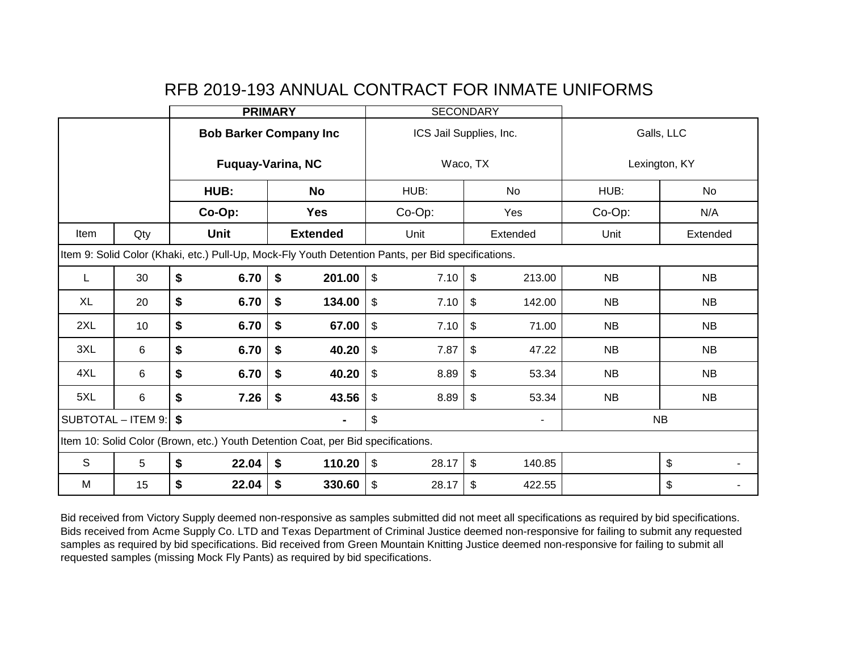|                                                                                  |     | <b>PRIMARY</b>                                                                                     |        |                               | <b>SECONDARY</b>        |                           |                              |                |                  |           |  |
|----------------------------------------------------------------------------------|-----|----------------------------------------------------------------------------------------------------|--------|-------------------------------|-------------------------|---------------------------|------------------------------|----------------|------------------|-----------|--|
|                                                                                  |     |                                                                                                    |        | <b>Bob Barker Company Inc</b> |                         | ICS Jail Supplies, Inc.   |                              |                | Galls, LLC       |           |  |
|                                                                                  |     |                                                                                                    |        | <b>Fuquay-Varina, NC</b>      |                         | Waco, TX                  |                              |                | Lexington, KY    |           |  |
|                                                                                  |     |                                                                                                    | HUB:   | <b>No</b>                     |                         | HUB:                      |                              | No             | HUB:             | No        |  |
|                                                                                  |     |                                                                                                    | Co-Op: | <b>Yes</b>                    |                         | Co-Op:                    |                              | Yes            | Co-Op:<br>N/A    |           |  |
| Item                                                                             | Qty |                                                                                                    | Unit   | <b>Extended</b>               |                         | Unit                      |                              | Extended       | Unit<br>Extended |           |  |
|                                                                                  |     | Item 9: Solid Color (Khaki, etc.) Pull-Up, Mock-Fly Youth Detention Pants, per Bid specifications. |        |                               |                         |                           |                              |                |                  |           |  |
| L                                                                                | 30  | \$<br>6.70<br>\$<br>201.00                                                                         |        |                               |                         | 7.10                      | $\sqrt[6]{2}$                | 213.00         | <b>NB</b>        | <b>NB</b> |  |
| XL                                                                               | 20  | \$<br>\$<br>134.00<br>6.70                                                                         |        | \$                            | 7.10                    | $\boldsymbol{\mathsf{S}}$ | 142.00                       | <b>NB</b>      | <b>NB</b>        |           |  |
| 2XL                                                                              | 10  | \$                                                                                                 | 6.70   | \$<br>67.00                   | $\sqrt[6]{\frac{1}{2}}$ | 7.10                      | $\mathfrak{S}$               | 71.00          | <b>NB</b>        | <b>NB</b> |  |
| 3XL                                                                              | 6   | \$                                                                                                 | 6.70   | \$<br>40.20                   | $\mathfrak{S}$          | 7.87                      | $\mathfrak{S}$               | 47.22          | <b>NB</b>        | NB        |  |
| 4XL                                                                              | 6   | \$                                                                                                 | 6.70   | \$<br>40.20                   | $\sqrt[6]{\frac{1}{2}}$ | 8.89                      | $\frac{1}{2}$                | 53.34          | <b>NB</b>        | NB        |  |
| 5XL                                                                              | 6   | \$                                                                                                 | 7.26   | \$<br>43.56                   | $\mathfrak{S}$          | 8.89                      | $\boldsymbol{\mathsf{S}}$    | 53.34          | NB               | <b>NB</b> |  |
| $\textsf{SUBTOTAL} - \textsf{ITEM 9:}$ \$<br>$\blacksquare$                      |     |                                                                                                    |        |                               | \$                      |                           |                              | $\blacksquare$ |                  | <b>NB</b> |  |
| Item 10: Solid Color (Brown, etc.) Youth Detention Coat, per Bid specifications. |     |                                                                                                    |        |                               |                         |                           |                              |                |                  |           |  |
| S                                                                                | 5   | \$<br>\$<br>22.04<br>110.20                                                                        |        |                               | $\mathfrak{S}$          | 28.17                     | $\boldsymbol{\mathsf{S}}$    | 140.85         |                  | \$        |  |
| M                                                                                | 15  | \$<br>\$<br>330.60<br>22.04                                                                        |        |                               | \$                      | 28.17                     | $\boldsymbol{\hat{\varphi}}$ | 422.55         |                  | \$        |  |